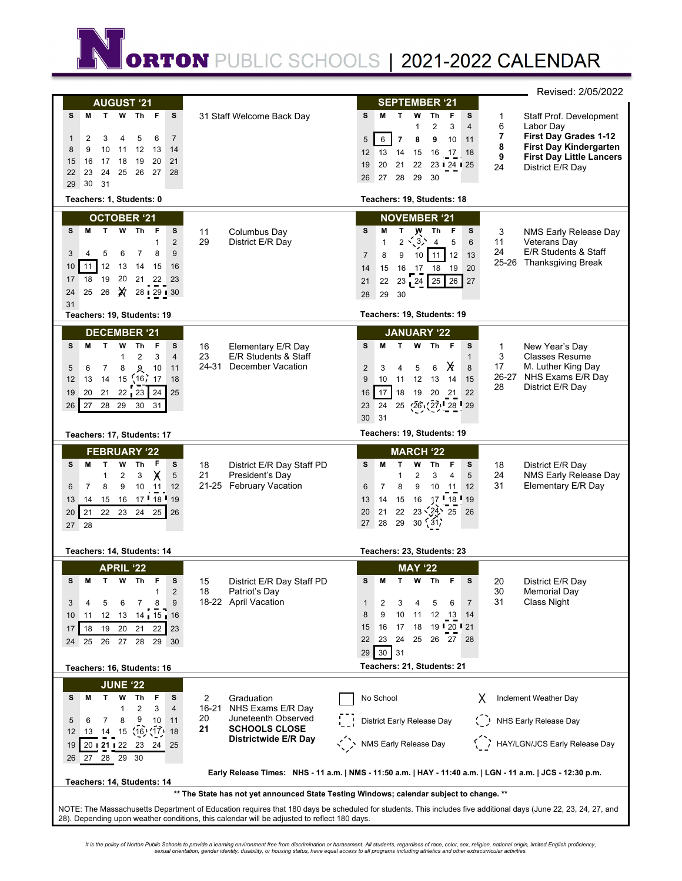**ORTON** PUBLIC SCHOOLS | 2021-2022 CALENDAR

|                                                                                                                                                                                                                                                                                             |                                                                                                                               | Revised: 2/05/2022                                                                                                                                                                                                                                                                                                                                                                                                                                         |  |  |
|---------------------------------------------------------------------------------------------------------------------------------------------------------------------------------------------------------------------------------------------------------------------------------------------|-------------------------------------------------------------------------------------------------------------------------------|------------------------------------------------------------------------------------------------------------------------------------------------------------------------------------------------------------------------------------------------------------------------------------------------------------------------------------------------------------------------------------------------------------------------------------------------------------|--|--|
| <b>AUGUST '21</b><br>М<br>T<br>W<br>Th<br>F<br>s<br>s<br>$\overline{7}$<br>2<br>3<br>5<br>6<br>4<br>1<br>9<br>10<br>12<br>8<br>11<br>13<br>14<br>17<br>20<br>16<br>18<br>19<br>21<br>15<br>23<br>24<br>25<br>27<br>28<br>22<br>26<br>30<br>31<br>29                                         | 31 Staff Welcome Back Day                                                                                                     | <b>SEPTEMBER '21</b><br>M<br>$\mathsf{T}$<br>Th<br>F<br>s<br>s<br>w<br>Staff Prof. Development<br>1<br>6<br>Labor Day<br>$\overline{2}$<br>3<br>4<br>1<br>7<br>First Day Grades 1-12<br>6<br>$\overline{7}$<br>5<br>8<br>9<br>10<br>11<br>8<br><b>First Day Kindergarten</b><br>13<br>14<br>12<br>15<br>16<br>17<br>18<br>9<br><b>First Day Little Lancers</b><br>19<br>20<br>21<br>22<br>23 24 25<br>24<br>District E/R Day<br>27<br>28<br>29<br>30<br>26 |  |  |
| Teachers: 1, Students: 0                                                                                                                                                                                                                                                                    |                                                                                                                               | Teachers: 19, Students: 18                                                                                                                                                                                                                                                                                                                                                                                                                                 |  |  |
| <b>OCTOBER '21</b><br>T.<br>W Th<br>- F<br>s<br>s<br>М<br>$\overline{2}$<br>1<br>5<br>9<br>3<br>4<br>6<br>7<br>8<br>12<br>11<br>13<br>10<br>15<br>16<br>14<br>19<br>20<br>18<br>21<br>22<br>17<br>23<br>╳<br>25<br>26<br>28   29   30<br>24<br>31                                           | 11<br>Columbus Day<br>29<br>District E/R Day                                                                                  | <b>NOVEMBER '21</b><br>s<br>s<br>M<br>т<br>w<br>Th<br>F<br>3<br>NMS Early Release Day<br>$\langle 3 \rangle$<br>$\mathbf{1}$<br>$\overline{2}$<br>5<br>$\overline{4}$<br>6<br>11<br>Veterans Day<br>24<br>E/R Students & Staff<br>12<br>$\overline{7}$<br>8<br>11<br>13<br>9<br>10<br>25-26 Thanksgiving Break<br>16<br>19<br>20<br>14<br>15<br>17 18<br>26<br>25<br>27<br>21<br>22<br>23 24<br>29<br>30<br>28                                             |  |  |
| Teachers: 19, Students: 19                                                                                                                                                                                                                                                                  |                                                                                                                               | Teachers: 19, Students: 19                                                                                                                                                                                                                                                                                                                                                                                                                                 |  |  |
| <b>DECEMBER '21</b><br>s<br>М<br>T.<br>W<br>Th<br>s<br>F<br>2<br>3<br>$\overline{\mathbf{4}}$<br>1<br>8<br>ዲ<br>10<br>11<br>6<br>7<br>5<br>18<br>13<br>14<br>15<br>16, 17<br>12<br>20<br>$22_123$<br>24<br>25<br>19<br>21<br>27<br>28<br>29<br>26<br>30<br>31<br>Teachers: 17, Students: 17 | 16<br>Elementary E/R Day<br>23<br>E/R Students & Staff<br>24-31<br>December Vacation                                          | <b>JANUARY '22</b><br>s<br>M<br>$\mathbf{T}$<br>W<br>Th<br>- F<br>s<br>New Year's Day<br>1<br>3<br><b>Classes Resume</b><br>$\mathbf{1}$<br>Х<br>17<br>M. Luther King Day<br>6<br>8<br>$\overline{2}$<br>3<br>5<br>4<br>26-27 NHS Exams E/R Day<br>9<br>12<br>13<br>15<br>10<br>11<br>14<br>28<br>District E/R Day<br>17<br>18<br>19<br>20<br>21<br>22<br>16<br>$(27)$ 28 29<br>23<br>24<br>25<br>(26)<br>30<br>31<br>Teachers: 19, Students: 19           |  |  |
|                                                                                                                                                                                                                                                                                             |                                                                                                                               |                                                                                                                                                                                                                                                                                                                                                                                                                                                            |  |  |
| <b>FEBRUARY '22</b><br>F<br>T.<br>S<br>s<br>M<br>W<br>Τh<br>Χ<br>5<br>1<br>2<br>3<br>8<br>7<br>9<br>10<br>11<br>12<br>6<br>17 18 19<br>16<br>14<br>15<br>13<br>21<br>22<br>23<br>24<br>20<br>26<br>25<br>27 28                                                                              | 18<br>District E/R Day Staff PD<br>21<br>President's Day<br>21-25 February Vacation                                           | <b>MARCH '22</b><br>F<br>M<br>T<br>w<br>Th<br>s<br>18<br>s<br>District E/R Day<br>24<br>NMS Early Release Day<br>3<br>5<br>1<br>$\overline{2}$<br>$\overline{4}$<br>31<br>Elementary E/R Day<br>$\overline{7}$<br>8<br>$6\phantom{1}6$<br>9<br>10<br>11<br>12<br>119<br>118<br>13<br>14<br>15<br>16<br>17<br>22<br>$23\sqrt{24}$ 25<br>21<br>20<br>26<br>$30 \times 31$<br>28<br>29<br>27                                                                  |  |  |
| Teachers: 14, Students: 14                                                                                                                                                                                                                                                                  |                                                                                                                               | Teachers: 23, Students: 23                                                                                                                                                                                                                                                                                                                                                                                                                                 |  |  |
| <b>APRIL '22</b><br>s<br>Th<br>F<br>s<br>M<br>т<br>W<br>$\overline{2}$<br>1<br>8<br>9<br>3<br>5<br>6<br>7<br>4<br>12<br>13<br>10<br>11<br>14   15   16<br>18<br>19<br>20<br>17<br>21<br>22<br>23<br>27<br>25<br>26<br>28<br>29<br>30<br>24                                                  | 15<br>District E/R Day Staff PD<br>18<br>Patriot's Day<br>18-22 April Vacation                                                | <b>MAY '22</b><br>F<br>s<br>M<br>Th<br>s<br>20<br>District E/R Day<br>т<br>w<br>30<br><b>Memorial Day</b><br>31<br>Class Night<br>5<br>$\overline{7}$<br>$\mathbf{1}$<br>2<br>3<br>6<br>4<br>9<br>8<br>10<br>11<br>12<br>- 13<br>14<br>16<br>17<br>18<br>15<br>19 20 21<br>23<br>24<br>25<br>26<br>22<br>27<br>28<br>$30 \mid 31$<br>29                                                                                                                    |  |  |
| Teachers: 16, Students: 16                                                                                                                                                                                                                                                                  |                                                                                                                               | Teachers: 21, Students: 21                                                                                                                                                                                                                                                                                                                                                                                                                                 |  |  |
| <b>JUNE '22</b><br>М<br>Τ<br>Th<br>F<br>s<br>s<br>w<br>2<br>1<br>3<br>4<br>9<br>10<br>8<br>11<br>5<br>6<br>7<br>(16)(17)<br>18<br>14<br>15<br>12<br>13<br>19<br>20:21:22<br>23<br>24<br>25<br>28<br>29<br>30<br>26<br>27<br>Teachers: 14, Students: 14                                      | 2<br>Graduation<br>16-21 NHS Exams E/R Day<br>20<br>Juneteenth Observed<br>21<br><b>SCHOOLS CLOSE</b><br>Districtwide E/R Day | Inclement Weather Day<br>No School<br>District Early Release Day<br>NHS Early Release Day<br>HAY/LGN/JCS Early Release Day<br>NMS Early Release Day<br>Early Release Times: NHS - 11 a.m.   NMS - 11:50 a.m.   HAY - 11:40 a.m.   LGN - 11 a.m.   JCS - 12:30 p.m.                                                                                                                                                                                         |  |  |
| ** The State has not yet announced State Testing Windows; calendar subject to change. **                                                                                                                                                                                                    |                                                                                                                               |                                                                                                                                                                                                                                                                                                                                                                                                                                                            |  |  |
| NOTE: The Massachusetts Department of Education requires that 180 days be scheduled for students. This includes five additional days (June 22, 23, 24, 27, and<br>28). Depending upon weather conditions, this calendar will be adjusted to reflect 180 days.                               |                                                                                                                               |                                                                                                                                                                                                                                                                                                                                                                                                                                                            |  |  |

It is the policy of Norton Public Schools to provide a learning environment free from discrimination or harassment. All students, regardless of race, color, sex, religion, national origin, limited English proficiency,<br>sexu